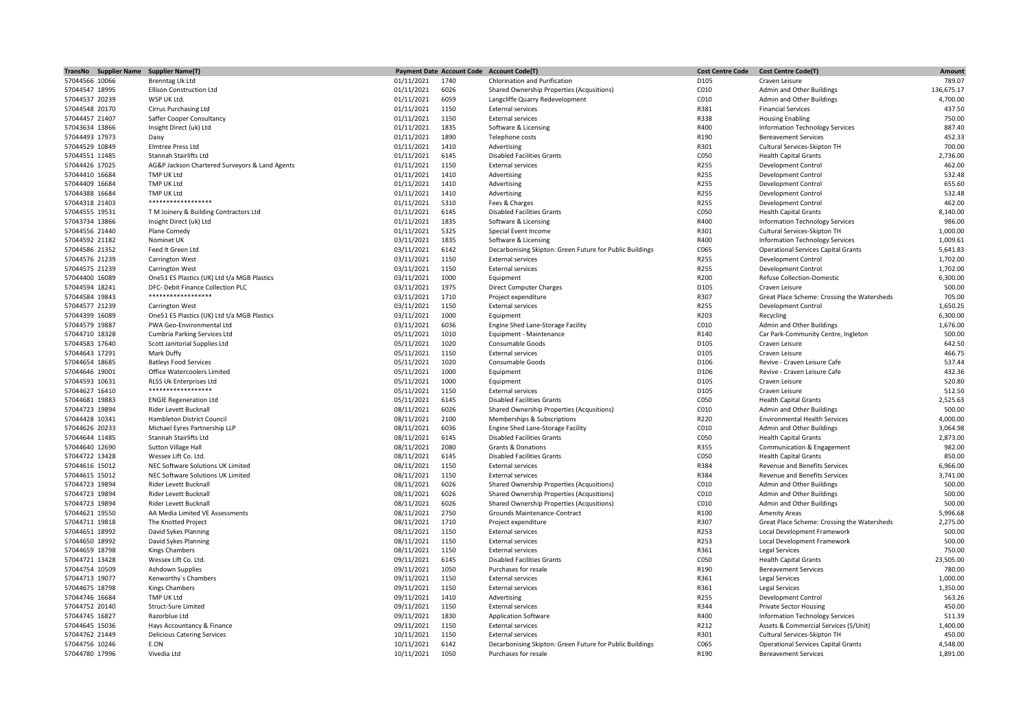| TransNo Supplier Name Supplier Name(T) |                                                |            | <b>Payment Date Account Code</b> | <b>Account Code(T)</b>                                   | <b>Cost Centre Code</b> | <b>Cost Centre Code(T)</b>                  | Amount     |
|----------------------------------------|------------------------------------------------|------------|----------------------------------|----------------------------------------------------------|-------------------------|---------------------------------------------|------------|
| 57044566 10066                         | <b>Brenntag Uk Ltd</b>                         | 01/11/2021 | 1740                             | Chlorination and Purification                            | D105                    | Craven Leisure                              | 789.07     |
| 57044547 18995                         | <b>Ellison Construction Ltd</b>                | 01/11/2021 | 6026                             | Shared Ownership Properties (Acqusitions)                | C010                    | Admin and Other Buildings                   | 136,675.17 |
| 57044537 20239                         | WSP UK Ltd.                                    | 01/11/2021 | 6059                             | Langcliffe Quarry Redevelopment                          | C010                    | Admin and Other Buildings                   | 4,700.00   |
| 57044548 20170                         | <b>Cirrus Purchasing Ltd</b>                   | 01/11/2021 | 1150                             | <b>External services</b>                                 | R381                    | <b>Financial Services</b>                   | 437.50     |
| 57044457 21407                         | Saffer Cooper Consultancy                      | 01/11/2021 | 1150                             | <b>External services</b>                                 | R338                    | <b>Housing Enabling</b>                     | 750.00     |
| 57043634 13866                         | Insight Direct (uk) Ltd                        | 01/11/2021 | 1835                             | Software & Licensing                                     | R400                    | <b>Information Technology Services</b>      | 887.40     |
| 57044493 17973                         | Daisy                                          | 01/11/2021 | 1890                             | Telephone costs                                          | R190                    | <b>Bereavement Services</b>                 | 452.33     |
| 57044529 10849                         | Elmtree Press Ltd                              | 01/11/2021 | 1410                             | Advertising                                              | R301                    | Cultural Services-Skipton TH                | 700.00     |
| 57044551 11485                         | Stannah Stairlifts Ltd                         | 01/11/2021 | 6145                             | <b>Disabled Facilities Grants</b>                        | C050                    | <b>Health Capital Grants</b>                | 2,736.00   |
| 57044426 17025                         | AG&P Jackson Chartered Surveyors & Land Agents | 01/11/2021 | 1150                             | <b>External services</b>                                 | R255                    | Development Control                         | 462.00     |
| 57044410 16684                         | TMP UK Ltd                                     | 01/11/2021 | 1410                             | Advertising                                              | R255                    | Development Control                         | 532.48     |
| 57044409 16684                         | <b>TMP UK Ltd</b>                              | 01/11/2021 | 1410                             | Advertising                                              | R255                    | Development Control                         | 655.60     |
| 57044388 16684                         | TMP UK Ltd                                     | 01/11/2021 | 1410                             | Advertising                                              | R255                    | <b>Development Control</b>                  | 532.48     |
| 57044318 21403                         | ******************                             | 01/11/2021 | 5310                             | Fees & Charges                                           | R255                    | Development Control                         | 462.00     |
|                                        | T M Joinery & Building Contractors Ltd         |            | 6145                             |                                                          | C050                    |                                             | 8,140.00   |
| 57044555 19531                         |                                                | 01/11/2021 |                                  | <b>Disabled Facilities Grants</b>                        |                         | <b>Health Capital Grants</b>                |            |
| 57043734 13866                         | Insight Direct (uk) Ltd                        | 01/11/2021 | 1835                             | Software & Licensing                                     | R400                    | <b>Information Technology Services</b>      | 986.00     |
| 57044556 21440                         | Plane Comedy                                   | 01/11/2021 | 5325                             | Special Event Income                                     | R301                    | Cultural Services-Skipton TH                | 1,000.00   |
| 57044592 21182                         | Nominet UK                                     | 03/11/2021 | 1835                             | Software & Licensing                                     | R400                    | <b>Information Technology Services</b>      | 1,009.61   |
| 57044586 21352                         | Feed It Green Ltd                              | 03/11/2021 | 6142                             | Decarbonising Skipton: Green Future for Public Buildings | C065                    | <b>Operational Services Capital Grants</b>  | 5,641.83   |
| 57044576 21239                         | Carrington West                                | 03/11/2021 | 1150                             | <b>External services</b>                                 | R255                    | Development Control                         | 1,702.00   |
| 57044575 21239                         | Carrington West                                | 03/11/2021 | 1150                             | <b>External services</b>                                 | R255                    | Development Control                         | 1,702.00   |
| 57044400 16089                         | One51 ES Plastics (UK) Ltd t/a MGB Plastics    | 03/11/2021 | 1000                             | Equipment                                                | R200                    | <b>Refuse Collection-Domestic</b>           | 6,300.00   |
| 57044594 18241                         | DFC- Debit Finance Collection PLC              | 03/11/2021 | 1975                             | <b>Direct Computer Charges</b>                           | D105                    | Craven Leisure                              | 500.00     |
| 57044584 19843                         | ******************                             | 03/11/2021 | 1710                             | Project expenditure                                      | R307                    | Great Place Scheme: Crossing the Watersheds | 705.00     |
| 57044577 21239                         | Carrington West                                | 03/11/2021 | 1150                             | <b>External services</b>                                 | R255                    | Development Control                         | 1.650.25   |
| 57044399 16089                         | One51 ES Plastics (UK) Ltd t/a MGB Plastics    | 03/11/2021 | 1000                             | Equipment                                                | R203                    | Recycling                                   | 6,300.00   |
| 57044579 19887                         | PWA Geo-Environmental Ltd                      | 03/11/2021 | 6036                             | Engine Shed Lane-Storage Facility                        | C010                    | Admin and Other Buildings                   | 1,676.00   |
| 57044710 18328                         | <b>Cumbria Parking Services Ltd</b>            | 05/11/2021 | 1010                             | Equipment - Maintenance                                  | R140                    | Car Park-Community Centre, Ingleton         | 500.00     |
| 57044583 17640                         | Scott Janitorial Supplies Ltd                  | 05/11/2021 | 1020                             | Consumable Goods                                         | D105                    | Craven Leisure                              | 642.50     |
| 57044643 17291                         | Mark Duffy                                     | 05/11/2021 | 1150                             | <b>External services</b>                                 | D105                    | Craven Leisure                              | 466.75     |
| 57044654 18685                         | <b>Batleys Food Services</b>                   | 05/11/2021 | 1020                             | Consumable Goods                                         | D106                    | Revive - Craven Leisure Cafe                | 537.44     |
| 57044646 19001                         | Office Watercoolers Limited                    | 05/11/2021 | 1000                             | Equipment                                                | D106                    | Revive - Craven Leisure Cafe                | 432.36     |
| 57044593 10631                         | RLSS Uk Enterprises Ltd                        | 05/11/2021 | 1000                             | Equipment                                                | D105                    | Craven Leisure                              | 520.80     |
| 57044627 16410                         | ******************                             | 05/11/2021 | 1150                             | <b>External services</b>                                 | D105                    | Craven Leisure                              | 512.50     |
| 57044681 19883                         | <b>ENGIE Regeneration Ltd</b>                  | 05/11/2021 | 6145                             | <b>Disabled Facilities Grants</b>                        | C050                    | <b>Health Capital Grants</b>                | 2,525.63   |
| 57044723 19894                         | Rider Levett Bucknall                          | 08/11/2021 | 6026                             | Shared Ownership Properties (Acqusitions)                | C010                    | Admin and Other Buildings                   | 500.00     |
| 57044428 10341                         | <b>Hambleton District Council</b>              | 08/11/2021 | 2100                             | Memberships & Subscriptions                              | R220                    | <b>Environmental Health Services</b>        | 4,000.00   |
| 57044626 20233                         | Michael Eyres Partnership LLP                  | 08/11/2021 | 6036                             | Engine Shed Lane-Storage Facility                        | C010                    | Admin and Other Buildings                   | 3,064.98   |
| 57044644 11485                         | Stannah Stairlifts Ltd                         | 08/11/2021 | 6145                             | <b>Disabled Facilities Grants</b>                        | C050                    | <b>Health Capital Grants</b>                | 2,873.00   |
| 57044640 12690                         | Sutton Village Hall                            | 08/11/2021 | 2080                             | <b>Grants &amp; Donations</b>                            | R355                    | Communication & Engagement                  | 982.00     |
| 57044722 13428                         | Wessex Lift Co. Ltd.                           | 08/11/2021 | 6145                             | <b>Disabled Facilities Grants</b>                        | C050                    | <b>Health Capital Grants</b>                | 850.00     |
| 57044616 15012                         | NEC Software Solutions UK Limited              | 08/11/2021 | 1150                             | <b>External services</b>                                 | R384                    | <b>Revenue and Benefits Services</b>        | 6,966.00   |
|                                        | NEC Software Solutions UK Limited              |            | 1150                             |                                                          | R384                    | <b>Revenue and Benefits Services</b>        |            |
| 57044615 15012                         |                                                | 08/11/2021 |                                  | <b>External services</b>                                 |                         |                                             | 3,741.00   |
| 57044723 19894                         | Rider Levett Bucknall                          | 08/11/2021 | 6026                             | Shared Ownership Properties (Acqusitions)                | C010                    | Admin and Other Buildings                   | 500.00     |
| 57044723 19894                         | Rider Levett Bucknall                          | 08/11/2021 | 6026                             | Shared Ownership Properties (Acqusitions)                | C010                    | Admin and Other Buildings                   | 500.00     |
| 57044723 19894                         | Rider Levett Bucknall                          | 08/11/2021 | 6026                             | Shared Ownership Properties (Acqusitions)                | C010                    | Admin and Other Buildings                   | 500.00     |
| 57044621 19550                         | AA Media Limited VE Assessments                | 08/11/2021 | 2750                             | Grounds Maintenance-Contract                             | R100                    | <b>Amenity Areas</b>                        | 5,996.68   |
| 57044711 19818                         | The Knotted Project                            | 08/11/2021 | 1710                             | Project expenditure                                      | R307                    | Great Place Scheme: Crossing the Watersheds | 2,275.00   |
| 57044651 18992                         | David Sykes Planning                           | 08/11/2021 | 1150                             | <b>External services</b>                                 | R253                    | Local Development Framework                 | 500.00     |
| 57044650 18992                         | David Sykes Planning                           | 08/11/2021 | 1150                             | <b>External services</b>                                 | R253                    | Local Development Framework                 | 500.00     |
| 57044659 18798                         | <b>Kings Chambers</b>                          | 08/11/2021 | 1150                             | <b>External services</b>                                 | R361                    | <b>Legal Services</b>                       | 750.00     |
| 57044721 13428                         | Wessex Lift Co. Ltd.                           | 09/11/2021 | 6145                             | <b>Disabled Facilities Grants</b>                        | C050                    | <b>Health Capital Grants</b>                | 23,505.00  |
| 57044754 10509                         | Ashdown Supplies                               | 09/11/2021 | 1050                             | Purchases for resale                                     | R190                    | <b>Bereavement Services</b>                 | 780.00     |
| 57044713 19077                         | Kenworthy's Chambers                           | 09/11/2021 | 1150                             | <b>External services</b>                                 | R361                    | <b>Legal Services</b>                       | 1,000.00   |
| 57044675 18798                         | <b>Kings Chambers</b>                          | 09/11/2021 | 1150                             | <b>External services</b>                                 | R361                    | <b>Legal Services</b>                       | 1,350.00   |
| 57044746 16684                         | TMP UK Ltd                                     | 09/11/2021 | 1410                             | Advertising                                              | R255                    | Development Control                         | 563.26     |
| 57044752 20140                         | <b>Struct-Sure Limited</b>                     | 09/11/2021 | 1150                             | <b>External services</b>                                 | R344                    | <b>Private Sector Housing</b>               | 450.00     |
| 57044745 16827                         | Razorblue Ltd                                  | 09/11/2021 | 1830                             | <b>Application Software</b>                              | R400                    | Information Technology Services             | 511.39     |
| 57044645 15036                         | Hays Accountancy & Finance                     | 09/11/2021 | 1150                             | <b>External services</b>                                 | R212                    | Assets & Commercial Services (S/Unit)       | 1,400.00   |
| 57044762 21449                         | <b>Delicious Catering Services</b>             | 10/11/2021 | 1150                             | <b>External services</b>                                 | R301                    | Cultural Services-Skipton TH                | 450.00     |
| 57044756 10246                         | E.ON                                           | 10/11/2021 | 6142                             | Decarbonising Skipton: Green Future for Public Buildings | C065                    | <b>Operational Services Capital Grants</b>  | 4,548.00   |
| 57044780 17996                         | Vivedia Ltd                                    | 10/11/2021 | 1050                             | Purchases for resale                                     | R190                    | <b>Bereavement Services</b>                 | 1,891.00   |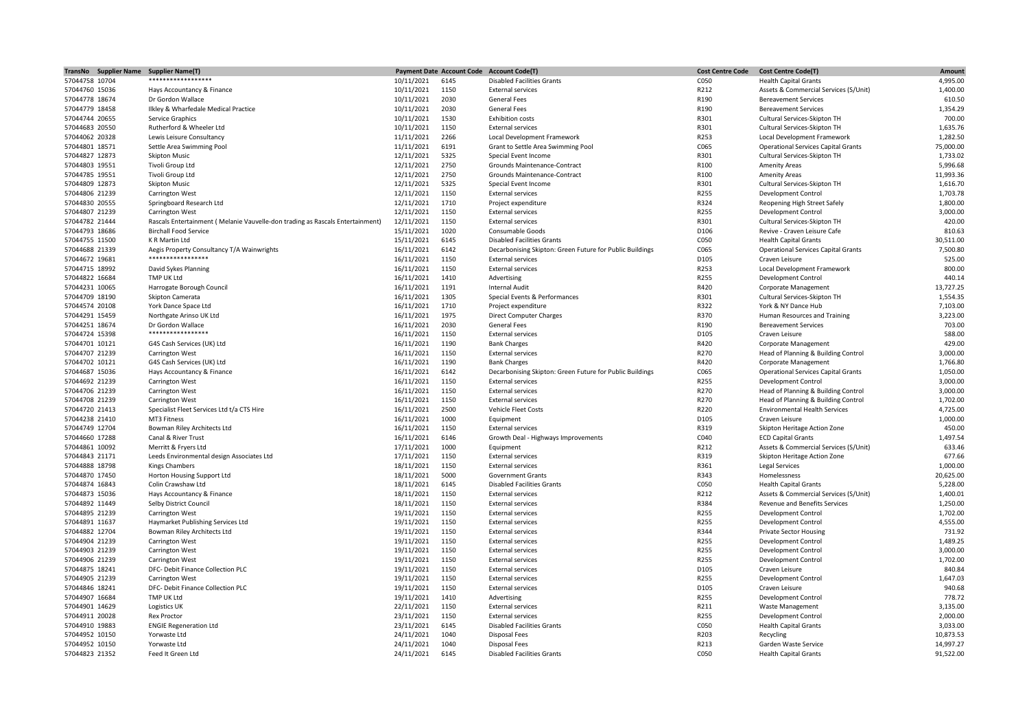|                | TransNo Supplier Name | <b>Supplier Name(T)</b>                                                       |            | <b>Payment Date Account Code</b> | <b>Account Code(T)</b>                                   | <b>Cost Centre Code</b> | <b>Cost Centre Code(T)</b>                 | Amount    |
|----------------|-----------------------|-------------------------------------------------------------------------------|------------|----------------------------------|----------------------------------------------------------|-------------------------|--------------------------------------------|-----------|
| 57044758 10704 |                       | ******************                                                            | 10/11/2021 | 6145                             | <b>Disabled Facilities Grants</b>                        | C050                    | <b>Health Capital Grants</b>               | 4,995.00  |
| 57044760 15036 |                       | Hays Accountancy & Finance                                                    | 10/11/2021 | 1150                             | <b>External services</b>                                 | R212                    | Assets & Commercial Services (S/Unit)      | 1,400.00  |
| 57044778 18674 |                       | Dr Gordon Wallace                                                             | 10/11/2021 | 2030                             | <b>General Fees</b>                                      | R190                    | <b>Bereavement Services</b>                | 610.50    |
| 57044779 18458 |                       | Ilkley & Wharfedale Medical Practice                                          | 10/11/2021 | 2030                             | <b>General Fees</b>                                      | R190                    | <b>Bereavement Services</b>                | 1,354.29  |
| 57044744 20655 |                       | Service Graphics                                                              | 10/11/2021 | 1530                             | <b>Exhibition costs</b>                                  | R301                    | Cultural Services-Skipton TH               | 700.00    |
| 57044683 20550 |                       | Rutherford & Wheeler Ltd                                                      | 10/11/2021 | 1150                             | <b>External services</b>                                 | R301                    | Cultural Services-Skipton TH               | 1,635.76  |
| 57044062 20328 |                       | Lewis Leisure Consultancy                                                     | 11/11/2021 | 2266                             | Local Development Framework                              | R253                    | Local Development Framework                | 1,282.50  |
| 57044801 18571 |                       |                                                                               |            | 6191                             |                                                          | C065                    |                                            |           |
|                |                       | Settle Area Swimming Pool                                                     | 11/11/2021 |                                  | Grant to Settle Area Swimming Pool                       |                         | <b>Operational Services Capital Grants</b> | 75,000.00 |
| 57044827 12873 |                       | <b>Skipton Music</b>                                                          | 12/11/2021 | 5325                             | Special Event Income                                     | R301                    | Cultural Services-Skipton TH               | 1,733.02  |
| 57044803 19551 |                       | Tivoli Group Ltd                                                              | 12/11/2021 | 2750                             | Grounds Maintenance-Contract                             | R100                    | <b>Amenity Areas</b>                       | 5,996.68  |
| 57044785 19551 |                       | Tivoli Group Ltd                                                              | 12/11/2021 | 2750                             | Grounds Maintenance-Contract                             | R100                    | <b>Amenity Areas</b>                       | 11,993.36 |
| 57044809 12873 |                       | <b>Skipton Music</b>                                                          | 12/11/2021 | 5325                             | Special Event Income                                     | R301                    | Cultural Services-Skipton TH               | 1,616.70  |
| 57044806 21239 |                       | Carrington West                                                               | 12/11/2021 | 1150                             | <b>External services</b>                                 | R255                    | <b>Development Control</b>                 | 1,703.78  |
| 57044830 20555 |                       | Springboard Research Ltd                                                      | 12/11/2021 | 1710                             | Project expenditure                                      | R324                    | Reopening High Street Safely               | 1,800.00  |
| 57044807 21239 |                       | Carrington West                                                               | 12/11/2021 | 1150                             | <b>External services</b>                                 | R255                    | Development Control                        | 3,000.00  |
| 57044782 21444 |                       | Rascals Entertainment (Melanie Vauvelle-don trading as Rascals Entertainment) | 12/11/2021 | 1150                             | <b>External services</b>                                 | R301                    | Cultural Services-Skipton TH               | 420.00    |
| 57044793 18686 |                       | <b>Birchall Food Service</b>                                                  | 15/11/2021 | 1020                             | Consumable Goods                                         | D106                    | Revive - Craven Leisure Cafe               | 810.63    |
| 57044755 11500 |                       | K R Martin Ltd                                                                | 15/11/2021 | 6145                             | <b>Disabled Facilities Grants</b>                        | C050                    | <b>Health Capital Grants</b>               | 30,511.00 |
| 57044688 21339 |                       | Aegis Property Consultancy T/A Wainwrights                                    | 16/11/2021 | 6142                             | Decarbonising Skipton: Green Future for Public Buildings | C065                    | <b>Operational Services Capital Grants</b> | 7,500.80  |
| 57044672 19681 |                       | *****************                                                             |            | 1150                             |                                                          | D105                    |                                            | 525.00    |
|                |                       |                                                                               | 16/11/2021 |                                  | <b>External services</b>                                 |                         | Craven Leisure                             |           |
| 57044715 18992 |                       | David Sykes Planning                                                          | 16/11/2021 | 1150                             | <b>External services</b>                                 | R253                    | Local Development Framework                | 800.00    |
| 57044822 16684 |                       | TMP UK Ltd                                                                    | 16/11/2021 | 1410                             | Advertising                                              | R255                    | <b>Development Control</b>                 | 440.14    |
| 57044231 10065 |                       | Harrogate Borough Council                                                     | 16/11/2021 | 1191                             | Internal Audit                                           | R420                    | Corporate Management                       | 13,727.25 |
| 57044709 18190 |                       | Skipton Camerata                                                              | 16/11/2021 | 1305                             | Special Events & Performances                            | R301                    | Cultural Services-Skipton TH               | 1,554.35  |
| 57044574 20108 |                       | York Dance Space Ltd                                                          | 16/11/2021 | 1710                             | Project expenditure                                      | R322                    | York & NY Dance Hub                        | 7,103.00  |
| 57044291 15459 |                       | Northgate Arinso UK Ltd                                                       | 16/11/2021 | 1975                             | <b>Direct Computer Charges</b>                           | R370                    | Human Resources and Training               | 3,223.00  |
| 57044251 18674 |                       | Dr Gordon Wallace                                                             | 16/11/2021 | 2030                             | <b>General Fees</b>                                      | R190                    | <b>Bereavement Services</b>                | 703.00    |
| 57044724 15398 |                       | *****************                                                             | 16/11/2021 | 1150                             | <b>External services</b>                                 | D105                    | Craven Leisure                             | 588.00    |
| 57044701 10121 |                       | G4S Cash Services (UK) Ltd                                                    | 16/11/2021 | 1190                             | <b>Bank Charges</b>                                      | R420                    | Corporate Management                       | 429.00    |
| 57044707 21239 |                       | Carrington West                                                               | 16/11/2021 | 1150                             | <b>External services</b>                                 | R270                    | Head of Planning & Building Control        | 3,000.00  |
| 57044702 10121 |                       | G4S Cash Services (UK) Ltd                                                    | 16/11/2021 | 1190                             | <b>Bank Charges</b>                                      | R420                    | Corporate Management                       | 1,766.80  |
| 57044687 15036 |                       |                                                                               |            | 6142                             |                                                          | C065                    |                                            | 1,050.00  |
|                |                       | Hays Accountancy & Finance                                                    | 16/11/2021 |                                  | Decarbonising Skipton: Green Future for Public Buildings |                         | <b>Operational Services Capital Grants</b> |           |
| 57044692 21239 |                       | Carrington West                                                               | 16/11/2021 | 1150                             | <b>External services</b>                                 | R255                    | Development Control                        | 3,000.00  |
| 57044706 21239 |                       | <b>Carrington West</b>                                                        | 16/11/2021 | 1150                             | <b>External services</b>                                 | R270                    | Head of Planning & Building Control        | 3,000.00  |
| 57044708 21239 |                       | Carrington West                                                               | 16/11/2021 | 1150                             | <b>External services</b>                                 | R270                    | Head of Planning & Building Control        | 1,702.00  |
| 57044720 21413 |                       | Specialist Fleet Services Ltd t/a CTS Hire                                    | 16/11/2021 | 2500                             | Vehicle Fleet Costs                                      | R220                    | <b>Environmental Health Services</b>       | 4,725.00  |
| 57044238 21410 |                       | MT3 Fitness                                                                   | 16/11/2021 | 1000                             | Equipment                                                | D105                    | Craven Leisure                             | 1,000.00  |
| 57044749 12704 |                       | Bowman Riley Architects Ltd                                                   | 16/11/2021 | 1150                             | <b>External services</b>                                 | R319                    | Skipton Heritage Action Zone               | 450.00    |
| 57044660 17288 |                       | Canal & River Trust                                                           | 16/11/2021 | 6146                             | Growth Deal - Highways Improvements                      | C040                    | <b>ECD Capital Grants</b>                  | 1,497.54  |
| 57044861 10092 |                       | Merritt & Fryers Ltd                                                          | 17/11/2021 | 1000                             | Equipment                                                | R212                    | Assets & Commercial Services (S/Unit)      | 633.46    |
| 57044843 21171 |                       | Leeds Environmental design Associates Ltd                                     | 17/11/2021 | 1150                             | <b>External services</b>                                 | R319                    | Skipton Heritage Action Zone               | 677.66    |
| 57044888 18798 |                       | <b>Kings Chambers</b>                                                         | 18/11/2021 | 1150                             | <b>External services</b>                                 | R361                    | Legal Services                             | 1,000.00  |
| 57044870 17450 |                       | Horton Housing Support Ltd                                                    | 18/11/2021 | 5000                             | <b>Government Grants</b>                                 | R343                    | Homelessness                               | 20,625.00 |
| 57044874 16843 |                       | Colin Crawshaw Ltd                                                            | 18/11/2021 | 6145                             | <b>Disabled Facilities Grants</b>                        | C050                    | <b>Health Capital Grants</b>               | 5,228.00  |
|                |                       |                                                                               |            | 1150                             |                                                          | R212                    |                                            | 1,400.01  |
| 57044873 15036 |                       | Hays Accountancy & Finance                                                    | 18/11/2021 |                                  | <b>External services</b>                                 |                         | Assets & Commercial Services (S/Unit)      |           |
| 57044892 11449 |                       | Selby District Council                                                        | 18/11/2021 | 1150                             | <b>External services</b>                                 | R384                    | Revenue and Benefits Services              | 1,250.00  |
| 57044895 21239 |                       | <b>Carrington West</b>                                                        | 19/11/2021 | 1150                             | <b>External services</b>                                 | R255                    | <b>Development Control</b>                 | 1,702.00  |
| 57044891 11637 |                       | Haymarket Publishing Services Ltd                                             | 19/11/2021 | 1150                             | <b>External services</b>                                 | R255                    | Development Control                        | 4,555.00  |
| 57044882 12704 |                       | Bowman Riley Architects Ltd                                                   | 19/11/2021 | 1150                             | <b>External services</b>                                 | R344                    | <b>Private Sector Housing</b>              | 731.92    |
| 57044904 21239 |                       | Carrington West                                                               | 19/11/2021 | 1150                             | <b>External services</b>                                 | R255                    | <b>Development Control</b>                 | 1,489.25  |
| 57044903 21239 |                       | Carrington West                                                               | 19/11/2021 | 1150                             | <b>External services</b>                                 | R255                    | <b>Development Control</b>                 | 3,000.00  |
| 57044906 21239 |                       | <b>Carrington West</b>                                                        | 19/11/2021 | 1150                             | <b>External services</b>                                 | R255                    | <b>Development Control</b>                 | 1,702.00  |
| 57044875 18241 |                       | DFC- Debit Finance Collection PLC                                             | 19/11/2021 | 1150                             | <b>External services</b>                                 | D105                    | Craven Leisure                             | 840.84    |
| 57044905 21239 |                       | <b>Carrington West</b>                                                        | 19/11/2021 | 1150                             | <b>External services</b>                                 | R255                    | Development Control                        | 1,647.03  |
| 57044846 18241 |                       | DFC- Debit Finance Collection PLC                                             | 19/11/2021 | 1150                             | <b>External services</b>                                 | D105                    | Craven Leisure                             | 940.68    |
| 57044907 16684 |                       | TMP UK Ltd                                                                    | 19/11/2021 | 1410                             | Advertising                                              | R255                    | <b>Development Control</b>                 | 778.72    |
| 57044901 14629 |                       | Logistics UK                                                                  |            | 1150                             | <b>External services</b>                                 | R211                    | Waste Management                           | 3,135.00  |
|                |                       |                                                                               | 22/11/2021 |                                  |                                                          |                         |                                            |           |
| 57044911 20028 |                       | <b>Rex Proctor</b>                                                            | 23/11/2021 | 1150                             | <b>External services</b>                                 | R255                    | <b>Development Control</b>                 | 2,000.00  |
| 57044910 19883 |                       | <b>ENGIE Regeneration Ltd</b>                                                 | 23/11/2021 | 6145                             | <b>Disabled Facilities Grants</b>                        | C050                    | <b>Health Capital Grants</b>               | 3,033.00  |
| 57044952 10150 |                       | Yorwaste Ltd                                                                  | 24/11/2021 | 1040                             | <b>Disposal Fees</b>                                     | R203                    | Recycling                                  | 10.873.53 |
| 57044952 10150 |                       | Yorwaste Ltd                                                                  | 24/11/2021 | 1040                             | <b>Disposal Fees</b>                                     | R213                    | Garden Waste Service                       | 14,997.27 |
| 57044823 21352 |                       | Feed It Green Ltd                                                             | 24/11/2021 | 6145                             | <b>Disabled Facilities Grants</b>                        | C050                    | <b>Health Capital Grants</b>               | 91,522.00 |